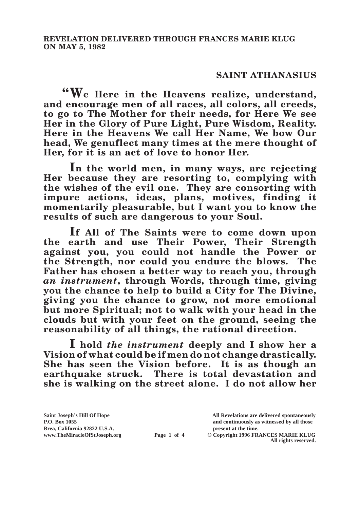## **SAINT ATHANASIUS**

**"We Here in the Heavens realize, understand, and encourage men of all races, all colors, all creeds, to go to The Mother for their needs, for Here We see Her in the Glory of Pure Light, Pure Wisdom, Reality. Here in the Heavens We call Her Name, We bow Our head, We genuflect many times at the mere thought of Her, for it is an act of love to honor Her.**

**In the world men, in many ways, are rejecting Her because they are resorting to, complying with the wishes of the evil one. They are consorting with impure actions, ideas, plans, motives, finding it momentarily pleasurable, but I want you to know the results of such are dangerous to your Soul.**

**If All of The Saints were to come down upon the earth and use Their Power, Their Strength against you, you could not handle the Power or the Strength, nor could you endure the blows. The**  Father has chosen a better way to reach you, through *an instrument***, through Words, through time, giving you the chance to help to build a City for The Divine, giving you the chance to grow, not more emotional but more Spiritual; not to walk with your head in the clouds but with your feet on the ground, seeing the reasonability of all things, the rational direction.**

**I hold** *the instrument* **deeply and I show her a Vision of what could be if men do not change drastically. She has seen the Vision before. It is as though an earthquake struck. There is total devastation and she is walking on the street alone. I do not allow her** 

**Saint Joseph's Hill Of Hope All Revelations are delivered spontaneously P.O. Box 1055 and continuously as witnessed by all those Page 1 of 4** © Copyright 1996 FRANCES MARIE KLUG

**All rights reserved.**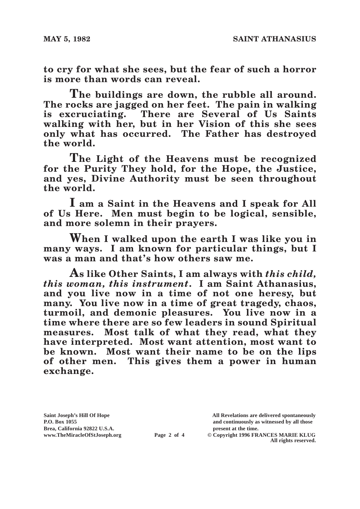**to cry for what she sees, but the fear of such a horror is more than words can reveal.**

**The buildings are down, the rubble all around. The rocks are jagged on her feet. The pain in walking is excruciating. There are Several of Us Saints walking with her, but in her Vision of this she sees only what has occurred. The Father has destroyed the world.**

**The Light of the Heavens must be recognized for the Purity They hold, for the Hope, the Justice, and yes, Divine Authority must be seen throughout the world.**

**I am a Saint in the Heavens and I speak for All of Us Here. Men must begin to be logical, sensible, and more solemn in their prayers.**

**When I walked upon the earth I was like you in many ways. I am known for particular things, but I was a man and that's how others saw me.**

**As like Other Saints, I am always with** *this child, this woman, this instrument***. I am Saint Athanasius, and you live now in a time of not one heresy, but many. You live now in a time of great tragedy, chaos, turmoil, and demonic pleasures. You live now in a time where there are so few leaders in sound Spiritual measures. Most talk of what they read, what they have interpreted. Most want attention, most want to be known. Most want their name to be on the lips of other men. This gives them a power in human exchange.**

Brea, California 92822 U.S.A.<br>
www.TheMiracleOfStJoseph.org<br> **Page 2 of 4** © Copyright 1996 FR.

**Saint Joseph's Hill Of Hope All Revelations are delivered spontaneously P.O. Box 1055 and continuously as witnessed by all those** 

 $\odot$  Copyright 1996 FRANCES MARIE KLUG **All rights reserved.**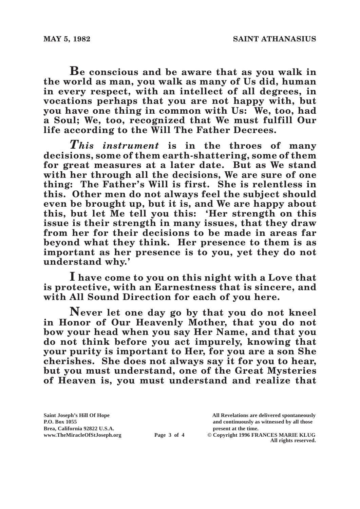**Be conscious and be aware that as you walk in the world as man, you walk as many of Us did, human in every respect, with an intellect of all degrees, in vocations perhaps that you are not happy with, but you have one thing in common with Us: We, too, had a Soul; We, too, recognized that We must fulfill Our life according to the Will The Father Decrees.**

*This instrument* **is in the throes of many decisions, some of them earth-shattering, some of them for great measures at a later date. But as We stand with her through all the decisions, We are sure of one thing: The Father's Will is first. She is relentless in this. Other men do not always feel the subject should even be brought up, but it is, and We are happy about this, but let Me tell you this: 'Her strength on this issue is their strength in many issues, that they draw from her for their decisions to be made in areas far beyond what they think. Her presence to them is as important as her presence is to you, yet they do not understand why.'**

**I have come to you on this night with a Love that is protective, with an Earnestness that is sincere, and with All Sound Direction for each of you here.** 

**Never let one day go by that you do not kneel in Honor of Our Heavenly Mother, that you do not bow your head when you say Her Name, and that you do not think before you act impurely, knowing that your purity is important to Her, for you are a son She cherishes. She does not always say it for you to hear, but you must understand, one of the Great Mysteries of Heaven is, you must understand and realize that** 

Brea, California 92822 U.S.A.<br>
www.TheMiracleOfStJoseph.org<br> **Page 3 of 4** © Copyright 1996 FR.

**Saint Joseph's Hill Of Hope All Revelations are delivered spontaneously P.O. Box 1055 and continuously as witnessed by all those** 

**Page 3 of 4** © Copyright 1996 FRANCES MARIE KLUG **All rights reserved.**